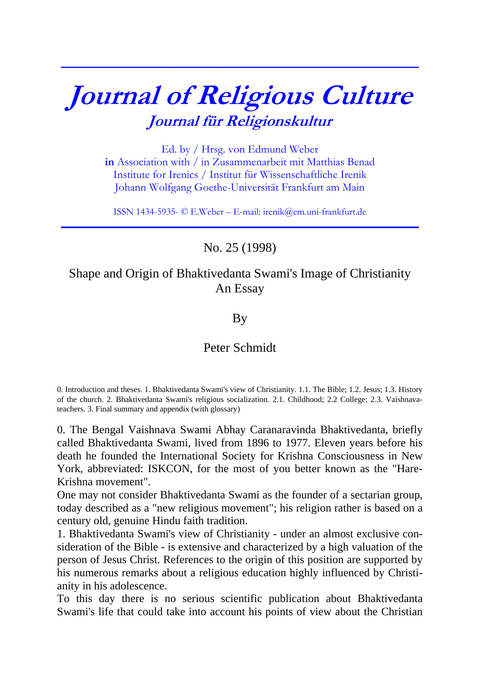## **Journal of Religious Culture Journal für Religionskultur**

**\_\_\_\_\_\_\_\_\_\_\_\_\_\_\_\_\_\_\_\_\_\_\_\_\_\_\_\_\_\_\_\_\_\_\_\_\_\_\_\_\_\_\_\_\_\_\_\_\_\_\_\_\_\_\_\_\_\_\_\_\_\_\_\_\_\_\_\_\_\_\_\_\_\_**

Ed. by / Hrsg. von Edmund Weber **in** Association with / in Zusammenarbeit mit Matthias Benad Institute for Irenics / Institut für Wissenschaftliche Irenik Johann Wolfgang Goethe-Universität Frankfurt am Main

ISSN 1434-5935- © E.Weber – E-mail: irenik@em.uni-frankfurt.de **\_\_\_\_\_\_\_\_\_\_\_\_\_\_\_\_\_\_\_\_\_\_\_\_\_\_\_\_\_\_\_\_\_\_\_\_\_\_\_\_\_\_\_\_\_\_\_\_\_\_\_\_\_\_\_\_\_\_\_\_\_\_\_\_\_\_\_\_\_\_\_\_\_\_**

No. 25 (1998)

## Shape and Origin of Bhaktivedanta Swami's Image of Christianity An Essay

By

## Peter Schmidt

0. Introduction and theses. 1. Bhaktivedanta Swami's view of Christianity. 1.1. The Bible; 1.2. Jesus; 1.3. History of the church. 2. Bhaktivedanta Swami's religious socialization. 2.1. Childhood; 2.2 College; 2.3. Vaishnavateachers. 3. Final summary and appendix (with glossary)

0. The Bengal Vaishnava Swami Abhay Caranaravinda Bhaktivedanta, briefly called Bhaktivedanta Swami, lived from 1896 to 1977. Eleven years before his death he founded the International Society for Krishna Consciousness in New York, abbreviated: ISKCON, for the most of you better known as the "Hare-Krishna movement".

One may not consider Bhaktivedanta Swami as the founder of a sectarian group, today described as a "new religious movement"; his religion rather is based on a century old, genuine Hindu faith tradition.

1. Bhaktivedanta Swami's view of Christianity - under an almost exclusive consideration of the Bible - is extensive and characterized by a high valuation of the person of Jesus Christ. References to the origin of this position are supported by his numerous remarks about a religious education highly influenced by Christianity in his adolescence.

To this day there is no serious scientific publication about Bhaktivedanta Swami's life that could take into account his points of view about the Christian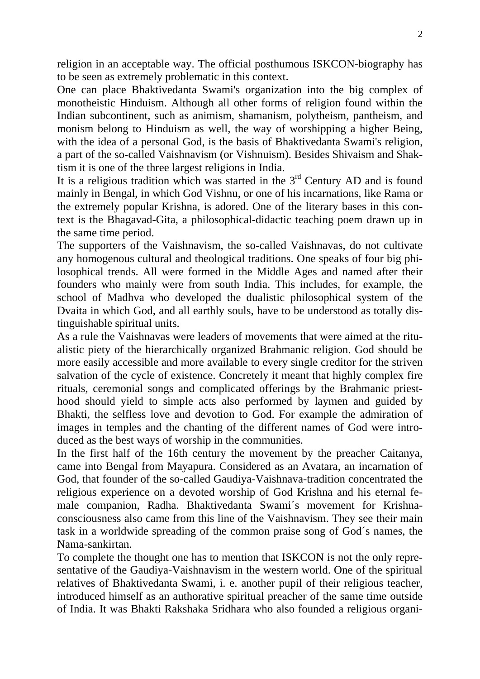religion in an acceptable way. The official posthumous ISKCON-biography has to be seen as extremely problematic in this context.

One can place Bhaktivedanta Swami's organization into the big complex of monotheistic Hinduism. Although all other forms of religion found within the Indian subcontinent, such as animism, shamanism, polytheism, pantheism, and monism belong to Hinduism as well, the way of worshipping a higher Being, with the idea of a personal God, is the basis of Bhaktivedanta Swami's religion, a part of the so-called Vaishnavism (or Vishnuism). Besides Shivaism and Shaktism it is one of the three largest religions in India.

It is a religious tradition which was started in the  $3<sup>rd</sup>$  Century AD and is found mainly in Bengal, in which God Vishnu, or one of his incarnations, like Rama or the extremely popular Krishna, is adored. One of the literary bases in this context is the Bhagavad-Gita, a philosophical-didactic teaching poem drawn up in the same time period.

The supporters of the Vaishnavism, the so-called Vaishnavas, do not cultivate any homogenous cultural and theological traditions. One speaks of four big philosophical trends. All were formed in the Middle Ages and named after their founders who mainly were from south India. This includes, for example, the school of Madhva who developed the dualistic philosophical system of the Dvaita in which God, and all earthly souls, have to be understood as totally distinguishable spiritual units.

As a rule the Vaishnavas were leaders of movements that were aimed at the ritualistic piety of the hierarchically organized Brahmanic religion. God should be more easily accessible and more available to every single creditor for the striven salvation of the cycle of existence. Concretely it meant that highly complex fire rituals, ceremonial songs and complicated offerings by the Brahmanic priesthood should yield to simple acts also performed by laymen and guided by Bhakti, the selfless love and devotion to God. For example the admiration of images in temples and the chanting of the different names of God were introduced as the best ways of worship in the communities.

In the first half of the 16th century the movement by the preacher Caitanya, came into Bengal from Mayapura. Considered as an Avatara, an incarnation of God, that founder of the so-called Gaudiya-Vaishnava-tradition concentrated the religious experience on a devoted worship of God Krishna and his eternal female companion, Radha. Bhaktivedanta Swami´s movement for Krishnaconsciousness also came from this line of the Vaishnavism. They see their main task in a worldwide spreading of the common praise song of God´s names, the Nama-sankirtan.

To complete the thought one has to mention that ISKCON is not the only representative of the Gaudiya-Vaishnavism in the western world. One of the spiritual relatives of Bhaktivedanta Swami, i. e. another pupil of their religious teacher, introduced himself as an authorative spiritual preacher of the same time outside of India. It was Bhakti Rakshaka Sridhara who also founded a religious organi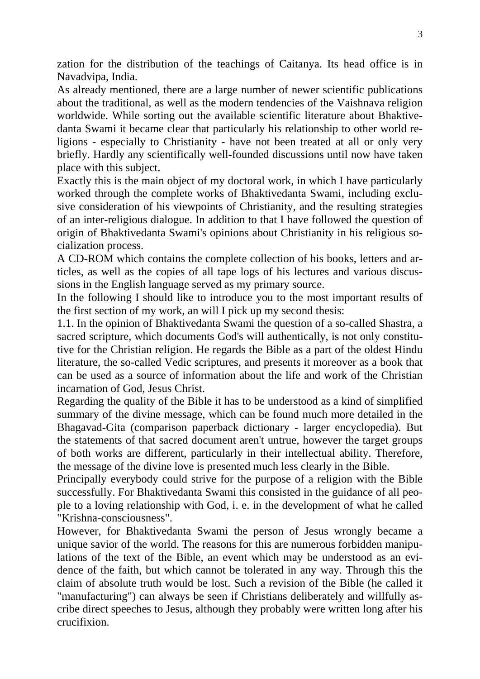zation for the distribution of the teachings of Caitanya. Its head office is in Navadvipa, India.

As already mentioned, there are a large number of newer scientific publications about the traditional, as well as the modern tendencies of the Vaishnava religion worldwide. While sorting out the available scientific literature about Bhaktivedanta Swami it became clear that particularly his relationship to other world religions - especially to Christianity - have not been treated at all or only very briefly. Hardly any scientifically well-founded discussions until now have taken place with this subject.

Exactly this is the main object of my doctoral work, in which I have particularly worked through the complete works of Bhaktivedanta Swami, including exclusive consideration of his viewpoints of Christianity, and the resulting strategies of an inter-religious dialogue. In addition to that I have followed the question of origin of Bhaktivedanta Swami's opinions about Christianity in his religious socialization process.

A CD-ROM which contains the complete collection of his books, letters and articles, as well as the copies of all tape logs of his lectures and various discussions in the English language served as my primary source.

In the following I should like to introduce you to the most important results of the first section of my work, an will I pick up my second thesis:

1.1. In the opinion of Bhaktivedanta Swami the question of a so-called Shastra, a sacred scripture, which documents God's will authentically, is not only constitutive for the Christian religion. He regards the Bible as a part of the oldest Hindu literature, the so-called Vedic scriptures, and presents it moreover as a book that can be used as a source of information about the life and work of the Christian incarnation of God, Jesus Christ.

Regarding the quality of the Bible it has to be understood as a kind of simplified summary of the divine message, which can be found much more detailed in the Bhagavad-Gita (comparison paperback dictionary - larger encyclopedia). But the statements of that sacred document aren't untrue, however the target groups of both works are different, particularly in their intellectual ability. Therefore, the message of the divine love is presented much less clearly in the Bible.

Principally everybody could strive for the purpose of a religion with the Bible successfully. For Bhaktivedanta Swami this consisted in the guidance of all people to a loving relationship with God, i. e. in the development of what he called "Krishna-consciousness".

However, for Bhaktivedanta Swami the person of Jesus wrongly became a unique savior of the world. The reasons for this are numerous forbidden manipulations of the text of the Bible, an event which may be understood as an evidence of the faith, but which cannot be tolerated in any way. Through this the claim of absolute truth would be lost. Such a revision of the Bible (he called it "manufacturing") can always be seen if Christians deliberately and willfully ascribe direct speeches to Jesus, although they probably were written long after his crucifixion.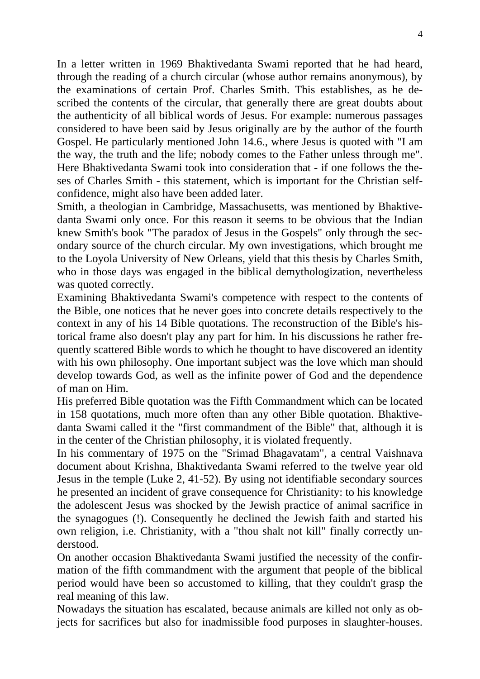In a letter written in 1969 Bhaktivedanta Swami reported that he had heard, through the reading of a church circular (whose author remains anonymous), by the examinations of certain Prof. Charles Smith. This establishes, as he described the contents of the circular, that generally there are great doubts about the authenticity of all biblical words of Jesus. For example: numerous passages considered to have been said by Jesus originally are by the author of the fourth Gospel. He particularly mentioned John 14.6., where Jesus is quoted with "I am the way, the truth and the life; nobody comes to the Father unless through me". Here Bhaktivedanta Swami took into consideration that - if one follows the theses of Charles Smith - this statement, which is important for the Christian selfconfidence, might also have been added later.

Smith, a theologian in Cambridge, Massachusetts, was mentioned by Bhaktivedanta Swami only once. For this reason it seems to be obvious that the Indian knew Smith's book "The paradox of Jesus in the Gospels" only through the secondary source of the church circular. My own investigations, which brought me to the Loyola University of New Orleans, yield that this thesis by Charles Smith, who in those days was engaged in the biblical demythologization, nevertheless was quoted correctly.

Examining Bhaktivedanta Swami's competence with respect to the contents of the Bible, one notices that he never goes into concrete details respectively to the context in any of his 14 Bible quotations. The reconstruction of the Bible's historical frame also doesn't play any part for him. In his discussions he rather frequently scattered Bible words to which he thought to have discovered an identity with his own philosophy. One important subject was the love which man should develop towards God, as well as the infinite power of God and the dependence of man on Him.

His preferred Bible quotation was the Fifth Commandment which can be located in 158 quotations, much more often than any other Bible quotation. Bhaktivedanta Swami called it the "first commandment of the Bible" that, although it is in the center of the Christian philosophy, it is violated frequently.

In his commentary of 1975 on the "Srimad Bhagavatam", a central Vaishnava document about Krishna, Bhaktivedanta Swami referred to the twelve year old Jesus in the temple (Luke 2, 41-52). By using not identifiable secondary sources he presented an incident of grave consequence for Christianity: to his knowledge the adolescent Jesus was shocked by the Jewish practice of animal sacrifice in the synagogues (!). Consequently he declined the Jewish faith and started his own religion, i.e. Christianity, with a "thou shalt not kill" finally correctly understood.

On another occasion Bhaktivedanta Swami justified the necessity of the confirmation of the fifth commandment with the argument that people of the biblical period would have been so accustomed to killing, that they couldn't grasp the real meaning of this law.

Nowadays the situation has escalated, because animals are killed not only as objects for sacrifices but also for inadmissible food purposes in slaughter-houses.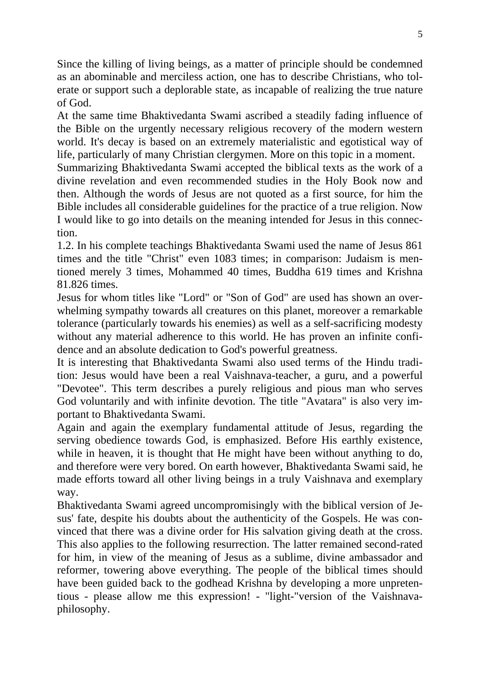Since the killing of living beings, as a matter of principle should be condemned as an abominable and merciless action, one has to describe Christians, who tolerate or support such a deplorable state, as incapable of realizing the true nature of God.

At the same time Bhaktivedanta Swami ascribed a steadily fading influence of the Bible on the urgently necessary religious recovery of the modern western world. It's decay is based on an extremely materialistic and egotistical way of life, particularly of many Christian clergymen. More on this topic in a moment.

Summarizing Bhaktivedanta Swami accepted the biblical texts as the work of a divine revelation and even recommended studies in the Holy Book now and then. Although the words of Jesus are not quoted as a first source, for him the Bible includes all considerable guidelines for the practice of a true religion. Now I would like to go into details on the meaning intended for Jesus in this connection.

1.2. In his complete teachings Bhaktivedanta Swami used the name of Jesus 861 times and the title "Christ" even 1083 times; in comparison: Judaism is mentioned merely 3 times, Mohammed 40 times, Buddha 619 times and Krishna 81.826 times.

Jesus for whom titles like "Lord" or "Son of God" are used has shown an overwhelming sympathy towards all creatures on this planet, moreover a remarkable tolerance (particularly towards his enemies) as well as a self-sacrificing modesty without any material adherence to this world. He has proven an infinite confidence and an absolute dedication to God's powerful greatness.

It is interesting that Bhaktivedanta Swami also used terms of the Hindu tradition: Jesus would have been a real Vaishnava-teacher, a guru, and a powerful "Devotee". This term describes a purely religious and pious man who serves God voluntarily and with infinite devotion. The title "Avatara" is also very important to Bhaktivedanta Swami.

Again and again the exemplary fundamental attitude of Jesus, regarding the serving obedience towards God, is emphasized. Before His earthly existence, while in heaven, it is thought that He might have been without anything to do, and therefore were very bored. On earth however, Bhaktivedanta Swami said, he made efforts toward all other living beings in a truly Vaishnava and exemplary way.

Bhaktivedanta Swami agreed uncompromisingly with the biblical version of Jesus' fate, despite his doubts about the authenticity of the Gospels. He was convinced that there was a divine order for His salvation giving death at the cross. This also applies to the following resurrection. The latter remained second-rated for him, in view of the meaning of Jesus as a sublime, divine ambassador and reformer, towering above everything. The people of the biblical times should have been guided back to the godhead Krishna by developing a more unpretentious - please allow me this expression! - "light-"version of the Vaishnavaphilosophy.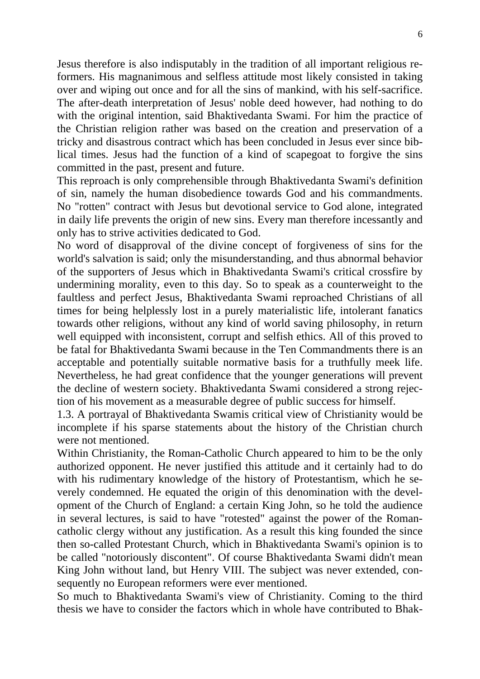Jesus therefore is also indisputably in the tradition of all important religious reformers. His magnanimous and selfless attitude most likely consisted in taking over and wiping out once and for all the sins of mankind, with his self-sacrifice. The after-death interpretation of Jesus' noble deed however, had nothing to do with the original intention, said Bhaktivedanta Swami. For him the practice of the Christian religion rather was based on the creation and preservation of a tricky and disastrous contract which has been concluded in Jesus ever since biblical times. Jesus had the function of a kind of scapegoat to forgive the sins committed in the past, present and future.

This reproach is only comprehensible through Bhaktivedanta Swami's definition of sin, namely the human disobedience towards God and his commandments. No "rotten" contract with Jesus but devotional service to God alone, integrated in daily life prevents the origin of new sins. Every man therefore incessantly and only has to strive activities dedicated to God.

No word of disapproval of the divine concept of forgiveness of sins for the world's salvation is said; only the misunderstanding, and thus abnormal behavior of the supporters of Jesus which in Bhaktivedanta Swami's critical crossfire by undermining morality, even to this day. So to speak as a counterweight to the faultless and perfect Jesus, Bhaktivedanta Swami reproached Christians of all times for being helplessly lost in a purely materialistic life, intolerant fanatics towards other religions, without any kind of world saving philosophy, in return well equipped with inconsistent, corrupt and selfish ethics. All of this proved to be fatal for Bhaktivedanta Swami because in the Ten Commandments there is an acceptable and potentially suitable normative basis for a truthfully meek life. Nevertheless, he had great confidence that the younger generations will prevent the decline of western society. Bhaktivedanta Swami considered a strong rejection of his movement as a measurable degree of public success for himself.

1.3. A portrayal of Bhaktivedanta Swamis critical view of Christianity would be incomplete if his sparse statements about the history of the Christian church were not mentioned.

Within Christianity, the Roman-Catholic Church appeared to him to be the only authorized opponent. He never justified this attitude and it certainly had to do with his rudimentary knowledge of the history of Protestantism, which he severely condemned. He equated the origin of this denomination with the development of the Church of England: a certain King John, so he told the audience in several lectures, is said to have "rotested" against the power of the Romancatholic clergy without any justification. As a result this king founded the since then so-called Protestant Church, which in Bhaktivedanta Swami's opinion is to be called "notoriously discontent". Of course Bhaktivedanta Swami didn't mean King John without land, but Henry VIII. The subject was never extended, consequently no European reformers were ever mentioned.

So much to Bhaktivedanta Swami's view of Christianity. Coming to the third thesis we have to consider the factors which in whole have contributed to Bhak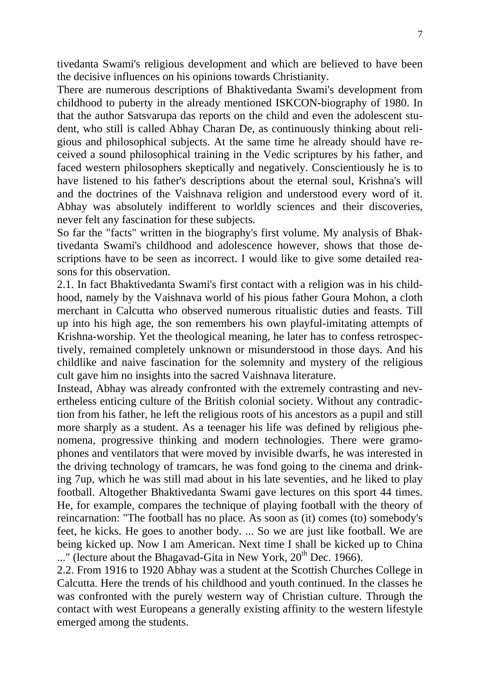tivedanta Swami's religious development and which are believed to have been the decisive influences on his opinions towards Christianity.

There are numerous descriptions of Bhaktivedanta Swami's development from childhood to puberty in the already mentioned ISKCON-biography of 1980. In that the author Satsvarupa das reports on the child and even the adolescent student, who still is called Abhay Charan De, as continuously thinking about religious and philosophical subjects. At the same time he already should have received a sound philosophical training in the Vedic scriptures by his father, and faced western philosophers skeptically and negatively. Conscientiously he is to have listened to his father's descriptions about the eternal soul, Krishna's will and the doctrines of the Vaishnava religion and understood every word of it. Abhay was absolutely indifferent to worldly sciences and their discoveries, never felt any fascination for these subjects.

So far the "facts" written in the biography's first volume. My analysis of Bhaktivedanta Swami's childhood and adolescence however, shows that those descriptions have to be seen as incorrect. I would like to give some detailed reasons for this observation.

2.1. In fact Bhaktivedanta Swami's first contact with a religion was in his childhood, namely by the Vaishnava world of his pious father Goura Mohon, a cloth merchant in Calcutta who observed numerous ritualistic duties and feasts. Till up into his high age, the son remembers his own playful-imitating attempts of Krishna-worship. Yet the theological meaning, he later has to confess retrospectively, remained completely unknown or misunderstood in those days. And his childlike and naive fascination for the solemnity and mystery of the religious cult gave him no insights into the sacred Vaishnava literature.

Instead, Abhay was already confronted with the extremely contrasting and nevertheless enticing culture of the British colonial society. Without any contradiction from his father, he left the religious roots of his ancestors as a pupil and still more sharply as a student. As a teenager his life was defined by religious phenomena, progressive thinking and modern technologies. There were gramophones and ventilators that were moved by invisible dwarfs, he was interested in the driving technology of tramcars, he was fond going to the cinema and drinking 7up, which he was still mad about in his late seventies, and he liked to play football. Altogether Bhaktivedanta Swami gave lectures on this sport 44 times. He, for example, compares the technique of playing football with the theory of reincarnation: "The football has no place. As soon as (it) comes (to) somebody's feet, he kicks. He goes to another body. ... So we are just like football. We are being kicked up. Now I am American. Next time I shall be kicked up to China  $\ldots$ " (lecture about the Bhagavad-Gita in New York, 20<sup>th</sup> Dec. 1966).

2.2. From 1916 to 1920 Abhay was a student at the Scottish Churches College in Calcutta. Here the trends of his childhood and youth continued. In the classes he was confronted with the purely western way of Christian culture. Through the contact with west Europeans a generally existing affinity to the western lifestyle emerged among the students.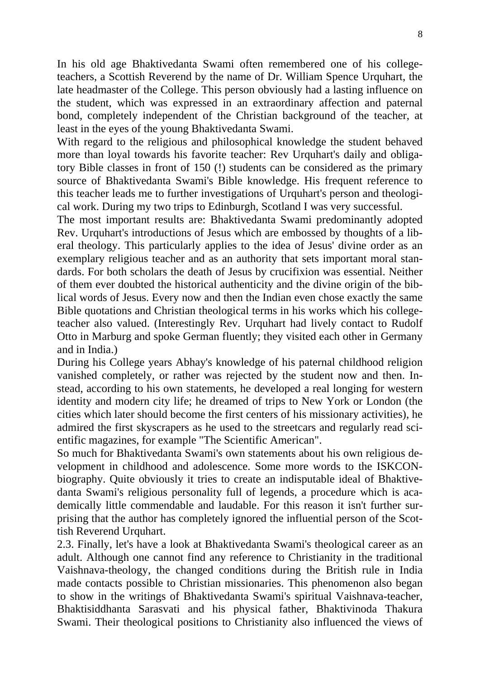In his old age Bhaktivedanta Swami often remembered one of his collegeteachers, a Scottish Reverend by the name of Dr. William Spence Urquhart, the late headmaster of the College. This person obviously had a lasting influence on the student, which was expressed in an extraordinary affection and paternal bond, completely independent of the Christian background of the teacher, at least in the eyes of the young Bhaktivedanta Swami.

With regard to the religious and philosophical knowledge the student behaved more than loyal towards his favorite teacher: Rev Urquhart's daily and obligatory Bible classes in front of 150 (!) students can be considered as the primary source of Bhaktivedanta Swami's Bible knowledge. His frequent reference to this teacher leads me to further investigations of Urquhart's person and theological work. During my two trips to Edinburgh, Scotland I was very successful.

The most important results are: Bhaktivedanta Swami predominantly adopted Rev. Urquhart's introductions of Jesus which are embossed by thoughts of a liberal theology. This particularly applies to the idea of Jesus' divine order as an exemplary religious teacher and as an authority that sets important moral standards. For both scholars the death of Jesus by crucifixion was essential. Neither of them ever doubted the historical authenticity and the divine origin of the biblical words of Jesus. Every now and then the Indian even chose exactly the same Bible quotations and Christian theological terms in his works which his collegeteacher also valued. (Interestingly Rev. Urquhart had lively contact to Rudolf Otto in Marburg and spoke German fluently; they visited each other in Germany and in India.)

During his College years Abhay's knowledge of his paternal childhood religion vanished completely, or rather was rejected by the student now and then. Instead, according to his own statements, he developed a real longing for western identity and modern city life; he dreamed of trips to New York or London (the cities which later should become the first centers of his missionary activities), he admired the first skyscrapers as he used to the streetcars and regularly read scientific magazines, for example "The Scientific American".

So much for Bhaktivedanta Swami's own statements about his own religious development in childhood and adolescence. Some more words to the ISKCONbiography. Quite obviously it tries to create an indisputable ideal of Bhaktivedanta Swami's religious personality full of legends, a procedure which is academically little commendable and laudable. For this reason it isn't further surprising that the author has completely ignored the influential person of the Scottish Reverend Urquhart.

2.3. Finally, let's have a look at Bhaktivedanta Swami's theological career as an adult. Although one cannot find any reference to Christianity in the traditional Vaishnava-theology, the changed conditions during the British rule in India made contacts possible to Christian missionaries. This phenomenon also began to show in the writings of Bhaktivedanta Swami's spiritual Vaishnava-teacher, Bhaktisiddhanta Sarasvati and his physical father, Bhaktivinoda Thakura Swami. Their theological positions to Christianity also influenced the views of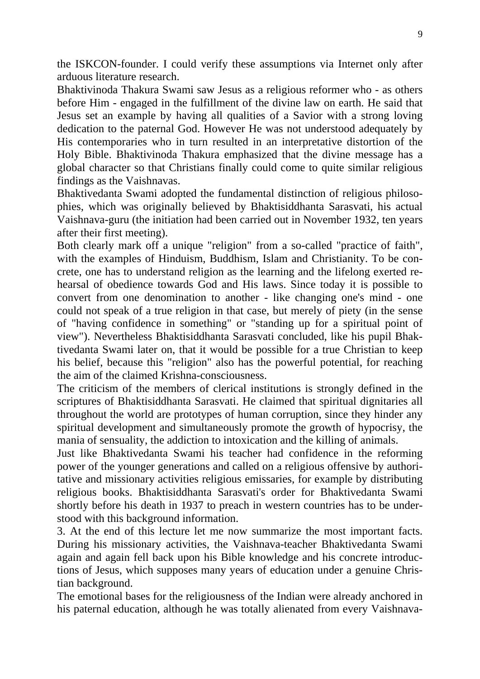the ISKCON-founder. I could verify these assumptions via Internet only after arduous literature research.

Bhaktivinoda Thakura Swami saw Jesus as a religious reformer who - as others before Him - engaged in the fulfillment of the divine law on earth. He said that Jesus set an example by having all qualities of a Savior with a strong loving dedication to the paternal God. However He was not understood adequately by His contemporaries who in turn resulted in an interpretative distortion of the Holy Bible. Bhaktivinoda Thakura emphasized that the divine message has a global character so that Christians finally could come to quite similar religious findings as the Vaishnavas.

Bhaktivedanta Swami adopted the fundamental distinction of religious philosophies, which was originally believed by Bhaktisiddhanta Sarasvati, his actual Vaishnava-guru (the initiation had been carried out in November 1932, ten years after their first meeting).

Both clearly mark off a unique "religion" from a so-called "practice of faith", with the examples of Hinduism, Buddhism, Islam and Christianity. To be concrete, one has to understand religion as the learning and the lifelong exerted rehearsal of obedience towards God and His laws. Since today it is possible to convert from one denomination to another - like changing one's mind - one could not speak of a true religion in that case, but merely of piety (in the sense of "having confidence in something" or "standing up for a spiritual point of view"). Nevertheless Bhaktisiddhanta Sarasvati concluded, like his pupil Bhaktivedanta Swami later on, that it would be possible for a true Christian to keep his belief, because this "religion" also has the powerful potential, for reaching the aim of the claimed Krishna-consciousness.

The criticism of the members of clerical institutions is strongly defined in the scriptures of Bhaktisiddhanta Sarasvati. He claimed that spiritual dignitaries all throughout the world are prototypes of human corruption, since they hinder any spiritual development and simultaneously promote the growth of hypocrisy, the mania of sensuality, the addiction to intoxication and the killing of animals.

Just like Bhaktivedanta Swami his teacher had confidence in the reforming power of the younger generations and called on a religious offensive by authoritative and missionary activities religious emissaries, for example by distributing religious books. Bhaktisiddhanta Sarasvati's order for Bhaktivedanta Swami shortly before his death in 1937 to preach in western countries has to be understood with this background information.

3. At the end of this lecture let me now summarize the most important facts. During his missionary activities, the Vaishnava-teacher Bhaktivedanta Swami again and again fell back upon his Bible knowledge and his concrete introductions of Jesus, which supposes many years of education under a genuine Christian background.

The emotional bases for the religiousness of the Indian were already anchored in his paternal education, although he was totally alienated from every Vaishnava